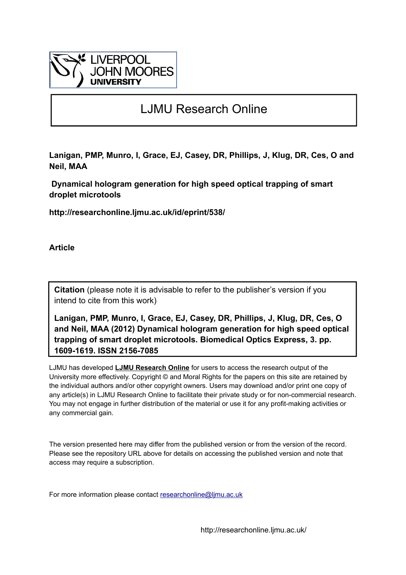

# LJMU Research Online

**Lanigan, PMP, Munro, I, Grace, EJ, Casey, DR, Phillips, J, Klug, DR, Ces, O and Neil, MAA**

 **Dynamical hologram generation for high speed optical trapping of smart droplet microtools**

**http://researchonline.ljmu.ac.uk/id/eprint/538/**

**Article**

**Citation** (please note it is advisable to refer to the publisher's version if you intend to cite from this work)

**Lanigan, PMP, Munro, I, Grace, EJ, Casey, DR, Phillips, J, Klug, DR, Ces, O and Neil, MAA (2012) Dynamical hologram generation for high speed optical trapping of smart droplet microtools. Biomedical Optics Express, 3. pp. 1609-1619. ISSN 2156-7085** 

LJMU has developed **[LJMU Research Online](http://researchonline.ljmu.ac.uk/)** for users to access the research output of the University more effectively. Copyright © and Moral Rights for the papers on this site are retained by the individual authors and/or other copyright owners. Users may download and/or print one copy of any article(s) in LJMU Research Online to facilitate their private study or for non-commercial research. You may not engage in further distribution of the material or use it for any profit-making activities or any commercial gain.

The version presented here may differ from the published version or from the version of the record. Please see the repository URL above for details on accessing the published version and note that access may require a subscription.

For more information please contact researchonline@limu.ac.uk

http://researchonline.ljmu.ac.uk/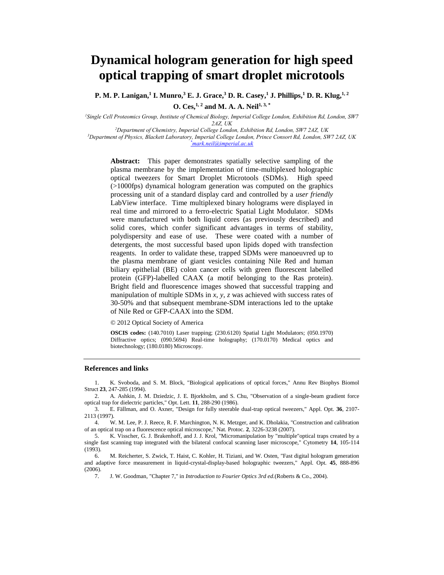# **Dynamical hologram generation for high speed optical trapping of smart droplet microtools**

**P. M. P. Lanigan, 1 I. Munro, <sup>3</sup> E. J. Grace, <sup>3</sup> D. R. Casey, <sup>1</sup> J. Phillips, <sup>1</sup> D. R. Klug, 1, 2 O. Ces, 1, <sup>2</sup> and M. A. A. Neil1, 3, \***

*<sup>1</sup>Single Cell Proteomics Group, Institute of Chemical Biology, Imperial College London, Exhibition Rd, London, SW7* 

*2AZ, UK*

*<sup>2</sup>Department of Chemistry, Imperial College London, Exhibition Rd, London, SW7 2AZ, UK*

*<sup>3</sup>Department of Physics, Blackett Laboratory, Imperial College London, Prince Consort Rd, London, SW7 2AZ, UK \*mark.neil@imperial.ac.uk*

**Abstract:** This paper demonstrates spatially selective sampling of the plasma membrane by the implementation of time-multiplexed holographic optical tweezers for Smart Droplet Microtools (SDMs). High speed (>1000fps) dynamical hologram generation was computed on the graphics processing unit of a standard display card and controlled by a *user friendly* LabView interface. Time multiplexed binary holograms were displayed in real time and mirrored to a ferro-electric Spatial Light Modulator. SDMs were manufactured with both liquid cores (as previously described) and solid cores, which confer significant advantages in terms of stability, polydispersity and ease of use. These were coated with a number of detergents, the most successful based upon lipids doped with transfection reagents. In order to validate these, trapped SDMs were manoeuvred up to the plasma membrane of giant vesicles containing Nile Red and human biliary epithelial (BE) colon cancer cells with green fluorescent labelled protein (GFP)-labelled CAAX (a motif belonging to the Ras protein). Bright field and fluorescence images showed that successful trapping and manipulation of multiple SDMs in *x*, *y*, *z* was achieved with success rates of 30-50% and that subsequent membrane-SDM interactions led to the uptake of Nile Red or GFP-CAAX into the SDM.

© 2012 Optical Society of America

**OSCIS codes:** (140.7010) Laser trapping; (230.6120) Spatial Light Modulators; (050.1970) Diffractive optics; (090.5694) Real-time holography; (170.0170) Medical optics and biotechnology; (180.0180) Microscopy.

#### **References and links**

<span id="page-1-0"></span>1. K. Svoboda, and S. M. Block, "Biological applications of optical forces," Annu Rev Biophys Biomol Struct **23**, 247-285 (1994).

<span id="page-1-1"></span>2. A. Ashkin, J. M. Dziedzic, J. E. Bjorkholm, and S. Chu, "Observation of a single-beam gradient force optical trap for dielectric particles," Opt. Lett. **11**, 288-290 (1986).

<span id="page-1-2"></span>3. E. Fällman, and O. Axner, "Design for fully steerable dual-trap optical tweezers," Appl. Opt. **36**, 2107- 2113 (1997).

<span id="page-1-3"></span>4. W. M. Lee, P. J. Reece, R. F. Marchington, N. K. Metzger, and K. Dholakia, "Construction and calibration of an optical trap on a fluorescence optical microscope," Nat. Protoc. **2**, 3226-3238 (2007).

<span id="page-1-4"></span>5. K. Visscher, G. J. Brakenhoff, and J. J. Krol, "Micromanipulation by "multiple"optical traps created by a single fast scanning trap integrated with the bilateral confocal scanning laser microscope," Cytometry **14**, 105-114 (1993).

<span id="page-1-5"></span>6. M. Reicherter, S. Zwick, T. Haist, C. Kohler, H. Tiziani, and W. Osten, "Fast digital hologram generation and adaptive force measurement in liquid-crystal-display-based holographic tweezers," Appl. Opt. **45**, 888-896 (2006).

<span id="page-1-6"></span>7. J. W. Goodman, "Chapter 7," in *Introduction to Fourier Optics 3rd ed.*(Roberts & Co., 2004).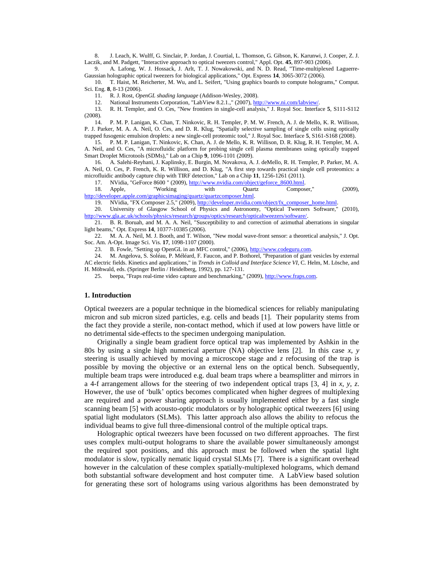<span id="page-2-0"></span>8. J. Leach, K. Wulff, G. Sinclair, P. Jordan, J. Courtial, L. Thomson, G. Gibson, K. Karunwi, J. Cooper, Z. J. Laczik, and M. Padgett, "Interactive approach to optical tweezers control," Appl. Opt. **45**, 897-903 (2006).

<span id="page-2-1"></span>9. A. Lafong, W. J. Hossack, J. Arlt, T. J. Nowakowski, and N. D. Read, "Time-multiplexed Laguerre-Gaussian holographic optical tweezers for biological applications," Opt. Express **14**, 3065-3072 (2006).

<span id="page-2-2"></span>10. T. Haist, M. Reicherter, M. Wu, and L. Seifert, "Using graphics boards to compute holograms," Comput. Sci. Eng. **8**, 8-13 (2006).

<span id="page-2-3"></span>11. R. J. Rost, *OpenGL shading language* (Addison-Wesley, 2008).

12. National Instruments Corporation, "LabView 8.2.1.," (2007)[, http://www.ni.com/labview/.](http://www.ni.com/labview/)

<span id="page-2-5"></span><span id="page-2-4"></span>13. R. H. Templer, and O. Ces, "New frontiers in single-cell analysis," J. Royal Soc. Interface **5**, S111-S112 (2008).

<span id="page-2-6"></span>14. P. M. P. Lanigan, K. Chan, T. Ninkovic, R. H. Templer, P. M. W. French, A. J. de Mello, K. R. Willison, P. J. Parker, M. A. A. Neil, O. Ces, and D. R. Klug, "Spatially selective sampling of single cells using optically trapped fusogenic emulsion droplets: a new single-cell proteomic tool," J. Royal Soc. Interface **5**, S161-S168 (2008).

<span id="page-2-7"></span>15. P. M. P. Lanigan, T. Ninkovic, K. Chan, A. J. de Mello, K. R. Willison, D. R. Klug, R. H. Templer, M. A. A. Neil, and O. Ces, "A microfluidic platform for probing single cell plasma membranes using optically trapped Smart Droplet Microtools (SDMs)," Lab on a Chip **9**, 1096-1101 (2009).

<span id="page-2-8"></span>16. A. Salehi-Reyhani, J. Kaplinsky, E. Burgin, M. Novakova, A. J. deMello, R. H. Templer, P. Parker, M. A. A. Neil, O. Ces, P. French, K. R. Willison, and D. Klug, "A first step towards practical single cell proteomics: a microfluidic antibody capture chip with TIRF detection," Lab on a Chip **11**, 1256-1261 (2011).

17. NVidia, "GeForce 8600" (2009)[, http://www.nvidia.com/object/geforce\\_8600.html.](http://www.nvidia.com/object/geforce_8600.html)

<span id="page-2-10"></span><span id="page-2-9"></span>18. Apple, "Working with Quartz Composer," (2009), [http://developer.apple.com/graphicsimaging/quartz/quartzcomposer.html.](http://developer.apple.com/graphicsimaging/quartz/quartzcomposer.html)

19. NVidia, "FX Composer 2.5," (2009), http://developer.nvidia.com/object/fx\_composer\_home.html

<span id="page-2-12"></span><span id="page-2-11"></span>20. University of Glasgow School of Physics and Astronomy, "Optical Tweezers Software," (2010), [http://www.gla.ac.uk/schools/physics/research/groups/optics/research/opticaltweezers/software/.](http://www.gla.ac.uk/schools/physics/research/groups/optics/research/opticaltweezers/software/)

<span id="page-2-13"></span>21. B. R. Boruah, and M. A. A. Neil, "Susceptibility to and correction of azimuthal aberrations in singular light beams," Opt. Express **14**, 10377-10385 (2006).

<span id="page-2-14"></span>22. M. A. A. Neil, M. J. Booth, and T. Wilson, "New modal wave-front sensor: a theoretical analysis," J. Opt. Soc. Am. A-Opt. Image Sci. Vis. **17**, 1098-1107 (2000).

23. B. Fowle, "Setting up OpenGL in an MFC control," (2006), [http://www.codeguru.com.](http://www.codeguru.com/)

<span id="page-2-15"></span>24. M. Angelova, S. Soléau, P. Méléard, F. Faucon, and P. Bothorel, "Preparation of giant vesicles by external AC electric fields. Kinetics and applications," in *Trends in Colloid and Interface Science VI*, C. Helm, M. Lösche, and H. Möhwald, eds. (Springer Berlin / Heidelberg, 1992), pp. 127-131.

25. beepa, "Fraps real-time video capture and benchmarking," (2009)[, http://www.fraps.com.](http://www.fraps.com/)

#### **1. Introduction**

Optical tweezers are a popular technique in the biomedical sciences for reliably manipulating micron and sub micron sized particles, e.g. cells and beads [\[1\]](#page-1-0). Their popularity stems from the fact they provide a sterile, non-contact method, which if used at low powers have little or no detrimental side-effects to the specimen undergoing manipulation.

Originally a single beam gradient force optical trap was implemented by Ashkin in the 80s by using a single high numerical aperture (NA) objective lens [\[2\]](#page-1-1). In this case *x*, *y* steering is usually achieved by moving a microscope stage and *z* refocusing of the trap is possible by moving the objective or an external lens on the optical bench. Subsequently, multiple beam traps were introduced e.g. dual beam traps where a beamsplitter and mirrors in a 4-f arrangement allows for the steering of two independent optical traps [\[3,](#page-1-2) [4\]](#page-1-3) in *x*, *y*, *z*. However, the use of 'bulk' optics becomes complicated when higher degrees of multiplexing are required and a power sharing approach is usually implemented either by a fast single scanning beam [\[5\]](#page-1-4) with acousto-optic modulators or by holographic optical tweezers [\[6\]](#page-1-5) using spatial light modulators (SLMs). This latter approach also allows the ability to refocus the individual beams to give full three-dimensional control of the multiple optical traps.

Holographic optical tweezers have been focussed on two different approaches. The first uses complex multi-output holograms to share the available power simultaneously amongst the required spot positions, and this approach must be followed when the spatial light modulator is slow, typically nematic liquid crystal SLMs [\[7\]](#page-1-6). There is a significant overhead however in the calculation of these complex spatially-multiplexed holograms, which demand both substantial software development and host computer time. A LabView based solution for generating these sort of holograms using various algorithms has been demonstrated by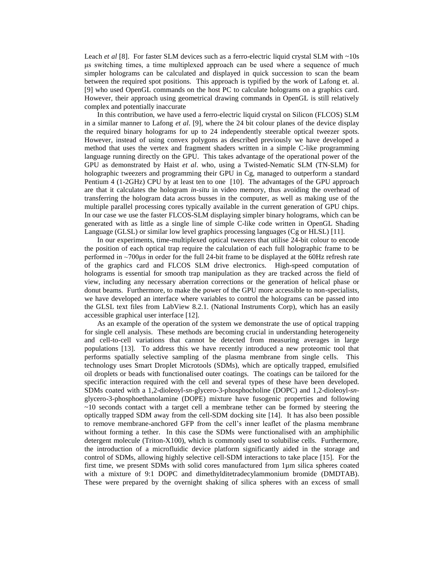Leach *et al* [\[8\]](#page-2-0). For faster SLM devices such as a ferro-electric liquid crystal SLM with ~10s μs switching times, a time multiplexed approach can be used where a sequence of much simpler holograms can be calculated and displayed in quick succession to scan the beam between the required spot positions. This approach is typified by the work of Lafong et. al. [\[9\]](#page-2-1) who used OpenGL commands on the host PC to calculate holograms on a graphics card. However, their approach using geometrical drawing commands in OpenGL is still relatively complex and potentially inaccurate

In this contribution, we have used a ferro-electric liquid crystal on Silicon (FLCOS) SLM in a similar manner to Lafong *et al*. [\[9\]](#page-2-1), where the 24 bit colour planes of the device display the required binary holograms for up to 24 independently steerable optical tweezer spots. However, instead of using convex polygons as described previously we have developed a method that uses the vertex and fragment shaders written in a simple C-like programming language running directly on the GPU. This takes advantage of the operational power of the GPU as demonstrated by Haist *et al*. who, using a Twisted-Nematic SLM (TN-SLM) for holographic tweezers and programming their GPU in Cg, managed to outperform a standard Pentium 4 (1-2GHz) CPU by at least ten to one [\[10\]](#page-2-2). The advantages of the GPU approach are that it calculates the hologram *in-situ* in video memory, thus avoiding the overhead of transferring the hologram data across busses in the computer, as well as making use of the multiple parallel processing cores typically available in the current generation of GPU chips. In our case we use the faster FLCOS-SLM displaying simpler binary holograms, which can be generated with as little as a single line of simple C-like code written in OpenGL Shading Language (GLSL) or similar low level graphics processing languages (Cg or HLSL) [\[11\]](#page-2-3).

In our experiments, time-multiplexed optical tweezers that utilise 24-bit colour to encode the position of each optical trap require the calculation of each full holographic frame to be performed in ~700μs in order for the full 24-bit frame to be displayed at the 60Hz refresh rate of the graphics card and FLCOS SLM drive electronics. High-speed computation of holograms is essential for smooth trap manipulation as they are tracked across the field of view, including any necessary aberration corrections or the generation of helical phase or donut beams. Furthermore, to make the power of the GPU more accessible to non-specialists, we have developed an interface where variables to control the holograms can be passed into the GLSL text files from LabView 8.2.1. (National Instruments Corp), which has an easily accessible graphical user interface [\[12\]](#page-2-4).

As an example of the operation of the system we demonstrate the use of optical trapping for single cell analysis. These methods are becoming crucial in understanding heterogeneity and cell-to-cell variations that cannot be detected from measuring averages in large populations [\[13\]](#page-2-5). To address this we have recently introduced a new proteomic tool that performs spatially selective sampling of the plasma membrane from single cells. This technology uses Smart Droplet Microtools (SDMs), which are optically trapped, emulsified oil droplets or beads with functionalised outer coatings. The coatings can be tailored for the specific interaction required with the cell and several types of these have been developed. SDMs coated with a 1,2-dioleoyl-*sn*-glycero-3-phosphocholine (DOPC) and 1,2-dioleoyl-*sn*glycero-3-phosphoethanolamine (DOPE) mixture have fusogenic properties and following  $\sim$ 10 seconds contact with a target cell a membrane tether can be formed by steering the optically trapped SDM away from the cell-SDM docking site [\[14\]](#page-2-6). It has also been possible to remove membrane-anchored GFP from the cell's inner leaflet of the plasma membrane without forming a tether. In this case the SDMs were functionalised with an amphiphilic detergent molecule (Triton- $X100$ ), which is commonly used to solubilise cells. Furthermore, the introduction of a microfluidic device platform significantly aided in the storage and control of SDMs, allowing highly selective cell-SDM interactions to take place [\[15\]](#page-2-7). For the first time, we present SDMs with solid cores manufactured from 1µm silica spheres coated with a mixture of 9:1 DOPC and dimethylditetradecylammonium bromide (DMDTAB). These were prepared by the overnight shaking of silica spheres with an excess of small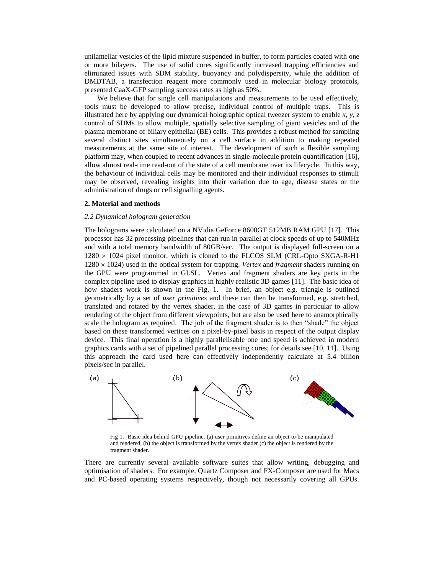unilamellar vesicles of the lipid mixture suspended in buffer, to form particles coated with one or more bilayers. The use of solid cores significantly increased trapping efficiencies and eliminated issues with SDM stability, buoyancy and polydispersity, while the addition of DMDTAB, a transfection reagent more commonly used in molecular biology protocols, presented CaaX-GFP sampling success rates as high as 50%.

We believe that for single cell manipulations and measurements to be used effectively, tools must be developed to allow precise, individual control of multiple traps. This is illustrated here by applying our dynamical holographic optical tweezer system to enable  $x$ ,  $y$ ,  $z$ control of SDMs to allow multiple, spatially selective sampling of giant vesicles and of the plasma membrane of biliary epithelial (BE) cells. This provides a robust method for sampling several distinct sites simultaneously on a cell surface in addition to making repeated measurements at the same site of interest. The development of such a flexible sampling platform may, when coupled to recent advances in single-molecule protein quantification [\[16\]](#page-2-8), allow almost real-time read-out of the state of a cell membrane over its lifecycle. In this way, the behaviour of individual cells may be monitored and their individual responses to stimuli may be observed, revealing insights into their variation due to age, disease states or the administration of drugs or cell signalling agents.

### **2. Material and methods**

#### *2.2 Dynamical hologram generation*

The holograms were calculated on a NVidia GeForce 8600GT 512MB RAM GPU [\[17\]](#page-2-9). This processor has 32 processing pipelines that can run in parallel at clock speeds of up to 540MHz and with a total memory bandwidth of 80GB/sec. The output is displayed full-screen on a  $1280 \times 1024$  pixel monitor, which is cloned to the FLCOS SLM (CRL-Opto SXGA-R-H1 1280 1024) used in the optical system for trapping. *Vertex* and *fragment* shaders running on the GPU were programmed in GLSL. Vertex and fragment shaders are key parts in the complex pipeline used to display graphics in highly realistic 3D games [\[11\]](#page-2-3). The basic idea of how shaders work is shown in the Fig. 1. In brief, an object e.g. triangle is outlined geometrically by a set of *user primitives* and these can then be transformed, e.g. stretched, translated and rotated by the vertex shader, in the case of 3D games in particular to allow rendering of the object from different viewpoints, but are also be used here to anamorphically scale the hologram as required. The job of the fragment shader is to then "shade" the object based on these transformed vertices on a pixel-by-pixel basis in respect of the output display device. This final operation is a highly parallelisable one and speed is achieved in modern graphics cards with a set of pipelined parallel processing cores; for details see [\[10,](#page-2-2) [11\]](#page-2-3). Using this approach the card used here can effectively independently calculate at 5.4 billion pixels/sec in parallel.



Fig 1. Basic idea behind GPU pipeline, (a) user primitives define an object to be manipulated and rendered, (b) the object is transformed by the vertex shader (c) the object is rendered by the fragment shader.

There are currently several available software suites that allow writing, debugging and optimisation of shaders. For example, Quartz Composer and FX-Composer are used for Macs and PC-based operating systems respectively, though not necessarily covering all GPUs.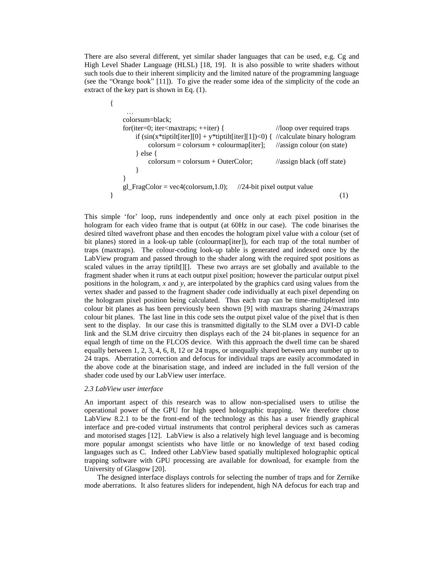There are also several different, yet similar shader languages that can be used, e.g. Cg and High Level Shader Language (HLSL) [\[18,](#page-2-10) [19\]](#page-2-11). It is also possible to write shaders without such tools due to their inherent simplicity and the limited nature of the programming language (see the "Orange book" [\[11\]](#page-2-3)). To give the reader some idea of the simplicity of the code an extract of the key part is shown in Eq. (1).

```
{
    …
   colorsum=black;
   for(iter=0; iter<maxtraps; ++iter) { //loop over required traps
      if (\sin(x^*tiptilt[iter][0] + y^*tiptilt[iter][1])<0) { //calculate binary hologram
          colorsum = colorsum + colourmap[iter]; //assign colour (on state)
       } else {
          colorsum = colorsum + OuterColor; //assign black (off state)
       }
   }
   gl_FragColor = vec4(colorsum, 1.0); //24-bit pixel output value
\} (1)
```
This simple 'for' loop, runs independently and once only at each pixel position in the hologram for each video frame that is output (at 60Hz in our case). The code binarises the desired tilted wavefront phase and then encodes the hologram pixel value with a colour (set of bit planes) stored in a look-up table (colourmap[iter]), for each trap of the total number of traps (maxtraps). The colour-coding look-up table is generated and indexed once by the LabView program and passed through to the shader along with the required spot positions as scaled values in the array tiptilt[][]. These two arrays are set globally and available to the fragment shader when it runs at each output pixel position; however the particular output pixel positions in the hologram, *x* and *y*, are interpolated by the graphics card using values from the vertex shader and passed to the fragment shader code individually at each pixel depending on the hologram pixel position being calculated. Thus each trap can be time-multiplexed into colour bit planes as has been previously been shown [\[9\]](#page-2-1) with maxtraps sharing 24/maxtraps colour bit planes. The last line in this code sets the output pixel value of the pixel that is then sent to the display. In our case this is transmitted digitally to the SLM over a DVI-D cable link and the SLM drive circuitry then displays each of the 24 bit-planes in sequence for an equal length of time on the FLCOS device. With this approach the dwell time can be shared equally between 1, 2, 3, 4, 6, 8, 12 or 24 traps, or unequally shared between any number up to 24 traps. Aberration correction and defocus for individual traps are easily accommodated in the above code at the binarisation stage, and indeed are included in the full version of the shader code used by our LabView user interface.

#### *2.3 LabView user interface*

An important aspect of this research was to allow non-specialised users to utilise the operational power of the GPU for high speed holographic trapping. We therefore chose LabView 8.2.1 to be the front-end of the technology as this has a user friendly graphical interface and pre-coded virtual instruments that control peripheral devices such as cameras and motorised stages [\[12\]](#page-2-4). LabView is also a relatively high level language and is becoming more popular amongst scientists who have little or no knowledge of text based coding languages such as C. Indeed other LabView based spatially multiplexed holographic optical trapping software with GPU processing are available for download, for example from the University of Glasgow [\[20\]](#page-2-12).

The designed interface displays controls for selecting the number of traps and for Zernike mode aberrations. It also features sliders for independent, high NA defocus for each trap and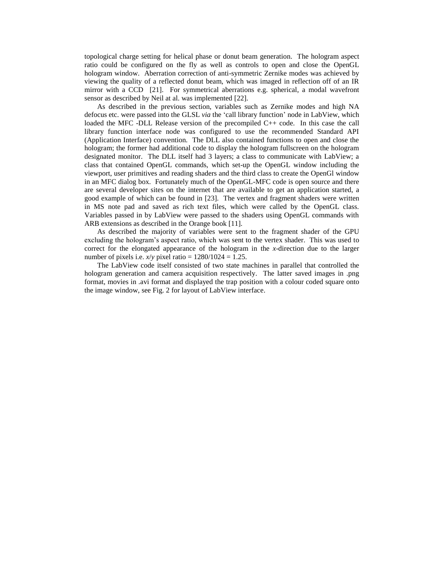topological charge setting for helical phase or donut beam generation. The hologram aspect ratio could be configured on the fly as well as controls to open and close the OpenGL hologram window. Aberration correction of anti-symmetric Zernike modes was achieved by viewing the quality of a reflected donut beam, which was imaged in reflection off of an IR mirror with a CCD [\[21\]](#page-2-13). For symmetrical aberrations e.g. spherical, a modal wavefront sensor as described by Neil at al. was implemented [\[22\]](#page-2-14).

As described in the previous section, variables such as Zernike modes and high NA defocus etc. were passed into the GLSL *via* the 'call library function' node in LabView, which loaded the MFC -DLL Release version of the precompiled C++ code. In this case the call library function interface node was configured to use the recommended Standard API (Application Interface) convention. The DLL also contained functions to open and close the hologram; the former had additional code to display the hologram fullscreen on the hologram designated monitor. The DLL itself had 3 layers; a class to communicate with LabView; a class that contained OpenGL commands, which set-up the OpenGL window including the viewport, user primitives and reading shaders and the third class to create the OpenGl window in an MFC dialog box. Fortunately much of the OpenGL-MFC code is open source and there are several developer sites on the internet that are available to get an application started, a good example of which can be found in [\[23\]](#page-2-15). The vertex and fragment shaders were written in MS note pad and saved as rich text files, which were called by the OpenGL class. Variables passed in by LabView were passed to the shaders using OpenGL commands with ARB extensions as described in the Orange book [\[11\]](#page-2-3).

As described the majority of variables were sent to the fragment shader of the GPU excluding the hologram's aspect ratio, which was sent to the vertex shader. This was used to correct for the elongated appearance of the hologram in the *x*-direction due to the larger number of pixels i.e.  $x/y$  pixel ratio =  $1280/1024 = 1.25$ .

The LabView code itself consisted of two state machines in parallel that controlled the hologram generation and camera acquisition respectively. The latter saved images in .png format, movies in .avi format and displayed the trap position with a colour coded square onto the image window, see Fig. 2 for layout of LabView interface.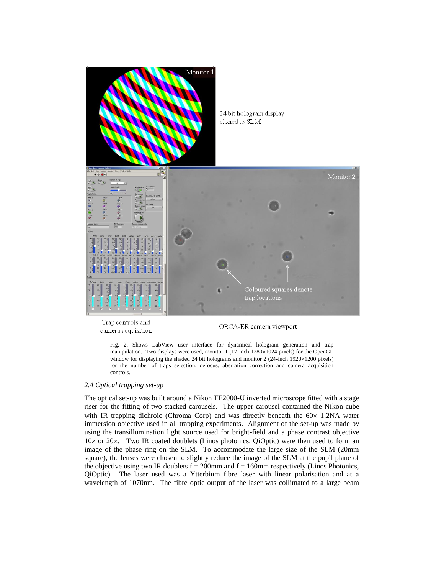

Trap controls and camera acquisition

ORCA-ER camera viewport

Fig. 2. Shows LabView user interface for dynamical hologram generation and trap manipulation. Two displays were used, monitor  $1$  (17-inch 1280 $\times$ 1024 pixels) for the OpenGL window for displaying the shaded 24 bit holograms and monitor 2 (24-inch  $1920 \times 1200$  pixels) for the number of traps selection, defocus, aberration correction and camera acquisition controls.

#### *2.4 Optical trapping set-up*

The optical set-up was built around a Nikon TE2000-U inverted microscope fitted with a stage riser for the fitting of two stacked carousels. The upper carousel contained the Nikon cube with IR trapping dichroic (Chroma Corp) and was directly beneath the  $60 \times 1.2$ NA water immersion objective used in all trapping experiments. Alignment of the set-up was made by using the transillumination light source used for bright-field and a phase contrast objective  $10\times$  or 20 $\times$ . Two IR coated doublets (Linos photonics, OiOptic) were then used to form an image of the phase ring on the SLM. To accommodate the large size of the SLM (20mm square), the lenses were chosen to slightly reduce the image of the SLM at the pupil plane of the objective using two IR doublets  $f = 200$ mm and  $f = 160$ mm respectively (Linos Photonics, QiOptic). The laser used was a Ytterbium fibre laser with linear polarisation and at a wavelength of 1070nm. The fibre optic output of the laser was collimated to a large beam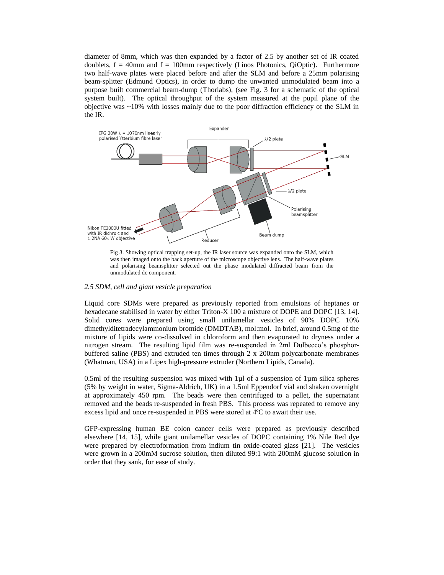diameter of 8mm, which was then expanded by a factor of 2.5 by another set of IR coated doublets,  $f = 40$ mm and  $f = 100$ mm respectively (Linos Photonics, QiOptic). Furthermore two half-wave plates were placed before and after the SLM and before a 25mm polarising beam-splitter (Edmund Optics), in order to dump the unwanted unmodulated beam into a purpose built commercial beam-dump (Thorlabs), (see Fig. 3 for a schematic of the optical system built). The optical throughput of the system measured at the pupil plane of the objective was ~10% with losses mainly due to the poor diffraction efficiency of the SLM in the IR.



Fig 3. Showing optical trapping set-up, the IR laser source was expanded onto the SLM, which was then imaged onto the back aperture of the microscope objective lens. The half-wave plates and polarising beamsplitter selected out the phase modulated diffracted beam from the unmodulated dc component.

#### *2.5 SDM, cell and giant vesicle preparation*

Liquid core SDMs were prepared as previously reported from emulsions of heptanes or hexadecane stabilised in water by either Triton-X 100 a mixture of DOPE and DOPC [13, 14]. Solid cores were prepared using small unilamellar vesicles of 90% DOPC 10% dimethylditetradecylammonium bromide (DMDTAB), mol:mol. In brief, around 0.5mg of the mixture of lipids were co-dissolved in chloroform and then evaporated to dryness under a nitrogen stream. The resulting lipid film was re-suspended in 2ml Dulbecco's phosphorbuffered saline (PBS) and extruded ten times through 2 x 200nm polycarbonate membranes (Whatman, USA) in a Lipex high-pressure extruder (Northern Lipids, Canada).

0.5ml of the resulting suspension was mixed with  $1\mu$ l of a suspension of  $1\mu$ m silica spheres (5% by weight in water, Sigma-Aldrich, UK) in a 1.5ml Eppendorf vial and shaken overnight at approximately 450 rpm. The beads were then centrifuged to a pellet, the supernatant removed and the beads re-suspended in fresh PBS. This process was repeated to remove any excess lipid and once re-suspended in PBS were stored at 4ºC to await their use.

GFP-expressing human BE colon cancer cells were prepared as previously described elsewhere [\[14,](#page-2-6) [15\]](#page-2-7), while giant unilamellar vesicles of DOPC containing 1% Nile Red dye were prepared by electroformation from indium tin oxide-coated glass [21]. The vesicles were grown in a 200mM sucrose solution, then diluted 99:1 with 200mM glucose solution in order that they sank, for ease of study.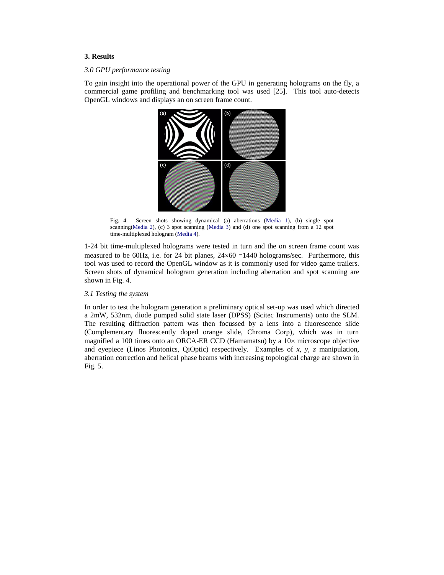# **3. Results**

#### *3.0 GPU performance testing*

To gain insight into the operational power of the GPU in generating holograms on the fly, a commercial game profiling and benchmarking tool was used [\[25\].](#page-2-13) This tool auto-detects OpenGL windows and displays an on screen frame count.



Fig. 4. Screen shots showing dynamical (a) aberrations (Media 1), (b) single spot scanning(Media 2), (c) 3 spot scanning (Media 3) and (d) one spot scanning from a 12 spot time-multiplexed hologram (Media 4).

1-24 bit time-multiplexed holograms were tested in turn and the on screen frame count was measured to be 60Hz, i.e. for 24 bit planes,  $24\times60 = 1440$  holograms/sec. Furthermore, this tool was used to record the OpenGL window as it is commonly used for video game trailers. Screen shots of dynamical hologram generation including aberration and spot scanning are shown in Fig. 4.

#### *3.1 Testing the system*

In order to test the hologram generation a preliminary optical set-up was used which directed a 2mW, 532nm, diode pumped solid state laser (DPSS) (Scitec Instruments) onto the SLM. The resulting diffraction pattern was then focussed by a lens into a fluorescence slide (Complementary fluorescently doped orange slide, Chroma Corp), which was in turn magnified a 100 times onto an ORCA-ER CCD (Hamamatsu) by a  $10\times$  microscope objective and eyepiece (Linos Photonics, QiOptic) respectively. Examples of *x*, *y*, *z* manipulation, aberration correction and helical phase beams with increasing topological charge are shown in Fig. 5.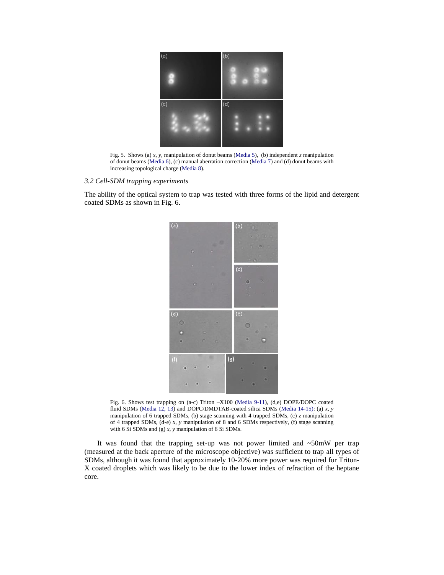

Fig. 5. Shows (a) *x*, *y*, manipulation of donut beams (Media 5), (b) independent *z* manipulation of donut beams (Media 6), (c) manual aberration correction (Media 7) and (d) donut beams with increasing topological charge (Media 8).

#### *3.2 Cell-SDM trapping experiments*

The ability of the optical system to trap was tested with three forms of the lipid and detergent coated SDMs as shown in Fig. 6.



Fig. 6. Shows test trapping on (a-c) Triton –X100 (Media 9-11), (d,e) DOPE/DOPC coated fluid SDMs (Media 12, 13) and DOPC/DMDTAB-coated silica SDMs (Media 14-15): (a) *x*, *y* manipulation of 6 trapped SDMs, (b) stage scanning with 4 trapped SDMs, (c) *z* manipulation of 4 trapped SDMs, (d-e) *x*, *y* manipulation of 8 and 6 SDMs respectively, (f) stage scanning with 6 Si SDMs and (g) *x*, *y* manipulation of 6 Si SDMs.

It was found that the trapping set-up was not power limited and ~50mW per trap (measured at the back aperture of the microscope objective) was sufficient to trap all types of SDMs, although it was found that approximately 10-20% more power was required for Triton-X coated droplets which was likely to be due to the lower index of refraction of the heptane core.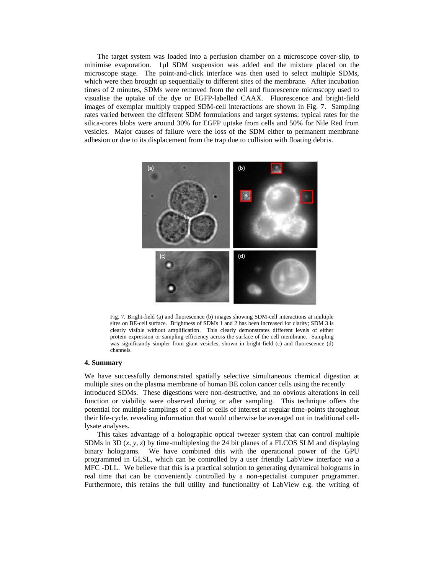The target system was loaded into a perfusion chamber on a microscope cover-slip, to minimise evaporation. 1µl SDM suspension was added and the mixture placed on the microscope stage. The point-and-click interface was then used to select multiple SDMs, which were then brought up sequentially to different sites of the membrane. After incubation times of 2 minutes, SDMs were removed from the cell and fluorescence microscopy used to visualise the uptake of the dye or EGFP-labelled CAAX. Fluorescence and bright-field images of exemplar multiply trapped SDM-cell interactions are shown in Fig. 7. Sampling rates varied between the different SDM formulations and target systems: typical rates for the silica-cores blobs were around 30% for EGFP uptake from cells and 50% for Nile Red from vesicles. Major causes of failure were the loss of the SDM either to permanent membrane adhesion or due to its displacement from the trap due to collision with floating debris.



Fig. 7. Bright-field (a) and fluorescence (b) images showing SDM-cell interactions at multiple sites on BE-cell surface. Brightness of SDMs 1 and 2 has been increased for clarity; SDM 3 is clearly visible without amplification. This clearly demonstrates different levels of either protein expression or sampling efficiency across the surface of the cell membrane. Sampling was significantly simpler from giant vesicles, shown in bright-field (c) and fluorescence (d) channels.

#### **4. Summary**

We have successfully demonstrated spatially selective simultaneous chemical digestion at multiple sites on the plasma membrane of human BE colon cancer cells using the recently introduced SDMs. These digestions were non-destructive, and no obvious alterations in cell function or viability were observed during or after sampling. This technique offers the potential for multiple samplings of a cell or cells of interest at regular time-points throughout their life-cycle, revealing information that would otherwise be averaged out in traditional celllysate analyses.

This takes advantage of a holographic optical tweezer system that can control multiple SDMs in 3D  $(x, y, z)$  by time-multiplexing the 24 bit planes of a FLCOS SLM and displaying binary holograms. We have combined this with the operational power of the GPU programmed in GLSL, which can be controlled by a user friendly LabView interface *via* a MFC -DLL. We believe that this is a practical solution to generating dynamical holograms in real time that can be conveniently controlled by a non-specialist computer programmer. Furthermore, this retains the full utility and functionality of LabView e.g. the writing of